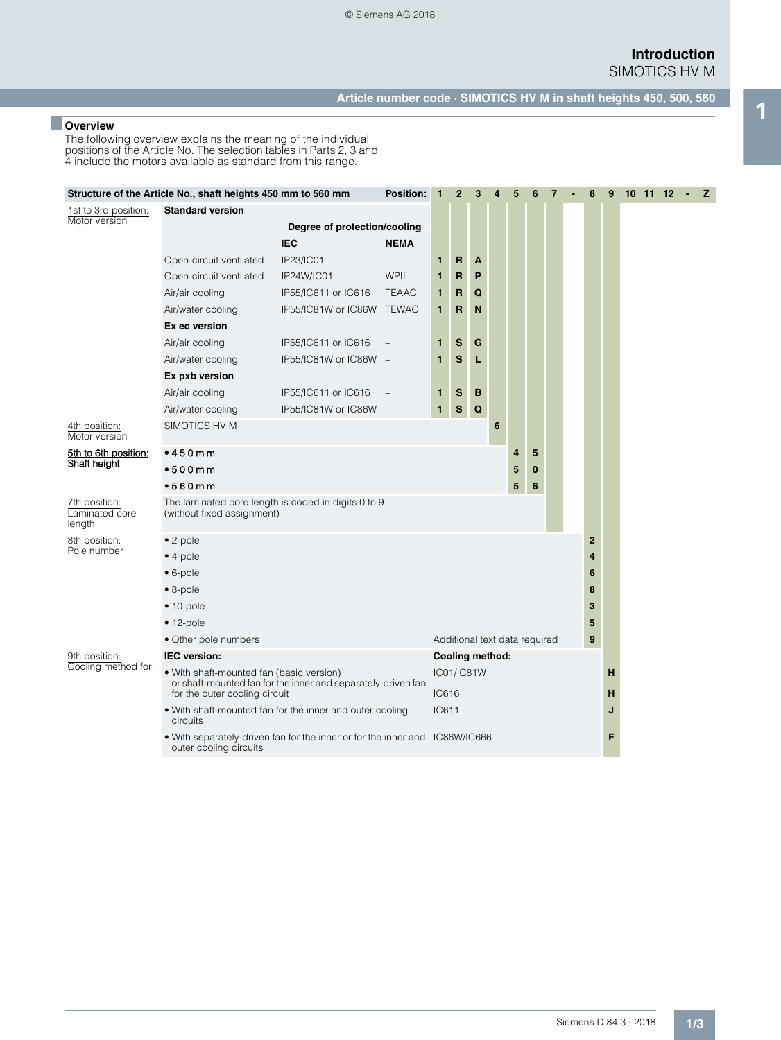**Introduction** SIMOTICS HV M

**Article number code · SIMOTICS HV M in shaft heights 450, 500, 560** 1 ■ **Overview**

The following overview explains the meaning of the individual positions of the Article No. The selection tables in Parts 2, 3 and 4 include the motors available as standard from this range.

| Structure of the Article No., shaft heights 450 mm to 560 mm |                                                                                                                                           |                                            |              | <b>Position:</b><br>$\mathbf{1}$ | $\overline{2}$ | 3                             | 4 | 5                             | $6\phantom{1}6$ | $\overline{7}$ |   | 8            | 9 |  |  | $10$ $11$ $12$ $ 2$ |  |
|--------------------------------------------------------------|-------------------------------------------------------------------------------------------------------------------------------------------|--------------------------------------------|--------------|----------------------------------|----------------|-------------------------------|---|-------------------------------|-----------------|----------------|---|--------------|---|--|--|---------------------|--|
| 1st to 3rd position:<br>Motor version                        | <b>Standard version</b>                                                                                                                   | Degree of protection/cooling<br><b>IEC</b> | <b>NEMA</b>  |                                  |                |                               |   |                               |                 |                |   |              |   |  |  |                     |  |
|                                                              | Open-circuit ventilated                                                                                                                   | IP23/IC01                                  |              | 1                                | R              | A                             |   |                               |                 |                |   |              |   |  |  |                     |  |
|                                                              | Open-circuit ventilated                                                                                                                   | IP24W/IC01                                 | WPII         | 1                                | R              | P                             |   |                               |                 |                |   |              |   |  |  |                     |  |
|                                                              | Air/air cooling                                                                                                                           | IP55/IC611 or IC616                        | <b>TEAAC</b> | 1                                | R              | Q                             |   |                               |                 |                |   |              |   |  |  |                     |  |
|                                                              | Air/water cooling                                                                                                                         | IP55/IC81W or IC86W TEWAC                  |              | 1                                | R              | N                             |   |                               |                 |                |   |              |   |  |  |                     |  |
|                                                              | Ex ec version                                                                                                                             |                                            |              |                                  |                |                               |   |                               |                 |                |   |              |   |  |  |                     |  |
|                                                              | Air/air cooling                                                                                                                           | IP55/IC611 or IC616                        |              | 1                                | S              | G                             |   |                               |                 |                |   |              |   |  |  |                     |  |
|                                                              | Air/water cooling                                                                                                                         | IP55/IC81W or IC86W -                      |              | 1                                | S              | L                             |   |                               |                 |                |   |              |   |  |  |                     |  |
|                                                              | Ex pxb version                                                                                                                            |                                            |              |                                  |                |                               |   |                               |                 |                |   |              |   |  |  |                     |  |
|                                                              | Air/air cooling                                                                                                                           | IP55/IC611 or IC616                        |              | 1                                | S              | B                             |   |                               |                 |                |   |              |   |  |  |                     |  |
|                                                              | Air/water cooling                                                                                                                         | IP55/IC81W or IC86W -                      |              | $\mathbf{1}$                     | S              | Q                             |   |                               |                 |                |   |              |   |  |  |                     |  |
| 4th position:<br>Motor version                               | SIMOTICS HV M                                                                                                                             |                                            |              |                                  |                |                               | 6 |                               |                 |                |   |              |   |  |  |                     |  |
| 5th to 6th position:                                         | •450mm                                                                                                                                    |                                            |              |                                  |                |                               |   | 4                             | 5               |                |   |              |   |  |  |                     |  |
| Shaft height                                                 | •500mm                                                                                                                                    |                                            |              |                                  |                |                               |   | 5                             | $\bf{0}$        |                |   |              |   |  |  |                     |  |
|                                                              | •560mm                                                                                                                                    |                                            |              |                                  |                | 5                             | 6 |                               |                 |                |   |              |   |  |  |                     |  |
| 7th position:<br>Laminated core<br>length                    | The laminated core length is coded in digits 0 to 9<br>(without fixed assignment)                                                         |                                            |              |                                  |                |                               |   |                               |                 |                |   |              |   |  |  |                     |  |
| 8th position:                                                | $\bullet$ 2-pole                                                                                                                          |                                            |              |                                  |                |                               |   |                               |                 |                |   | $\mathbf{2}$ |   |  |  |                     |  |
| Pole number                                                  | $\bullet$ 4-pole                                                                                                                          |                                            |              |                                  |                |                               |   |                               |                 |                |   | 4            |   |  |  |                     |  |
|                                                              | $\bullet$ 6-pole                                                                                                                          |                                            |              |                                  |                |                               |   |                               |                 |                |   | 6            |   |  |  |                     |  |
|                                                              | $\bullet$ 8-pole                                                                                                                          |                                            |              |                                  |                |                               |   |                               |                 |                |   | 8            |   |  |  |                     |  |
|                                                              | $\bullet$ 10-pole                                                                                                                         |                                            |              |                                  |                |                               |   |                               |                 |                |   | 3            |   |  |  |                     |  |
|                                                              | $• 12-pole$                                                                                                                               |                                            |              |                                  |                |                               |   |                               |                 |                |   | 5            |   |  |  |                     |  |
|                                                              | • Other pole numbers                                                                                                                      |                                            |              |                                  |                |                               |   | Additional text data required |                 |                |   | 9            |   |  |  |                     |  |
| 9th position:                                                | IEC version:                                                                                                                              |                                            |              |                                  |                | Cooling method:               |   |                               |                 |                |   |              |   |  |  |                     |  |
| Cooling method for:                                          | • With shaft-mounted fan (basic version)<br>or shaft-mounted fan for the inner and separately-driven fan<br>for the outer cooling circuit |                                            |              |                                  |                | IC01/IC81W<br>н<br>IC616<br>н |   |                               |                 |                |   |              |   |  |  |                     |  |
|                                                              | • With shaft-mounted fan for the inner and outer cooling<br>circuits                                                                      | IC611<br>J                                 |              |                                  |                |                               |   |                               |                 |                |   |              |   |  |  |                     |  |
|                                                              | • With separately-driven fan for the inner or for the inner and IC86W/IC666<br>outer cooling circuits                                     |                                            |              |                                  |                |                               |   |                               |                 |                | F |              |   |  |  |                     |  |
|                                                              |                                                                                                                                           |                                            |              |                                  |                |                               |   |                               |                 |                |   |              |   |  |  |                     |  |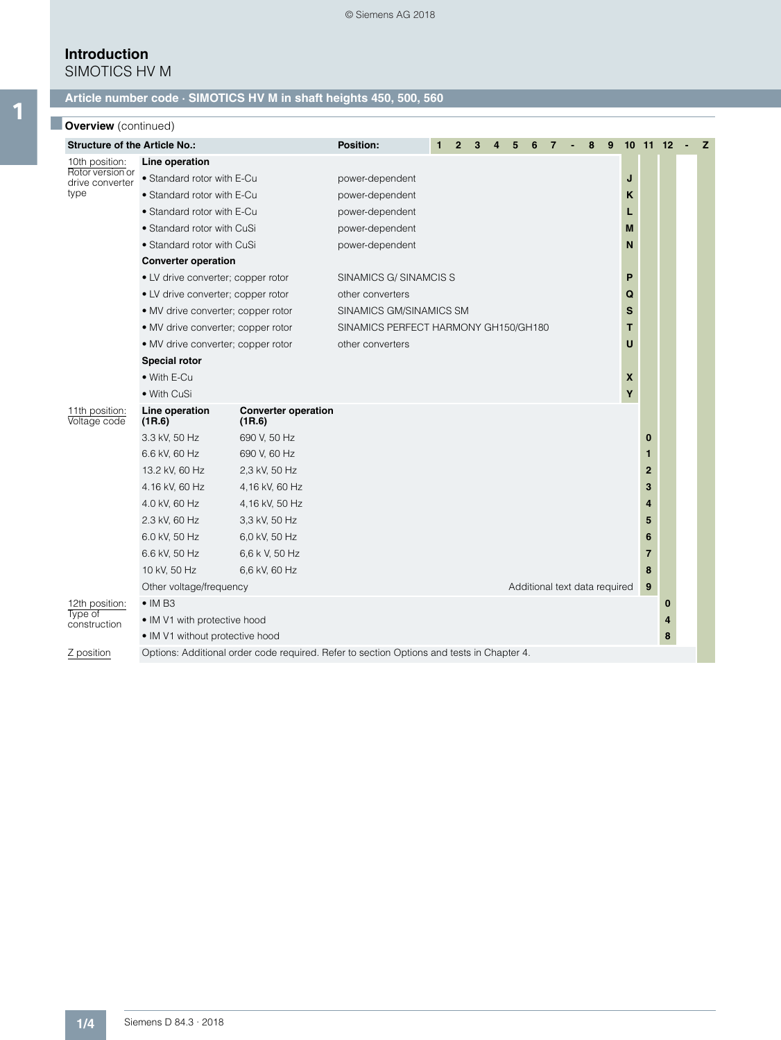# **Introduction**

SIMOTICS HV M

### **Article number code · SIMOTICS HV M in shaft heights 450, 500, 560**

| <b>Overview</b> (continued) |
|-----------------------------|

| <b>Structure of the Article No.:</b> |                                    |                                                                                           | <b>Position:</b>                          |   |   |  |  |  |   |   | 8 | 9 | 10 11 12 |              |   | z |
|--------------------------------------|------------------------------------|-------------------------------------------------------------------------------------------|-------------------------------------------|---|---|--|--|--|---|---|---|---|----------|--------------|---|---|
| 10th position:                       | Line operation                     |                                                                                           |                                           |   |   |  |  |  |   |   |   |   |          |              |   |   |
| Rotor version or<br>drive converter  | • Standard rotor with E-Cu         | power-dependent                                                                           |                                           |   |   |  |  |  |   |   |   | J |          |              |   |   |
| type                                 | • Standard rotor with E-Cu         |                                                                                           | power-dependent<br>Κ                      |   |   |  |  |  |   |   |   |   |          |              |   |   |
|                                      | • Standard rotor with E-Cu         |                                                                                           | power-dependent                           |   |   |  |  |  |   |   |   |   | L        |              |   |   |
|                                      | • Standard rotor with CuSi         |                                                                                           | power-dependent                           |   |   |  |  |  |   |   |   |   | M        |              |   |   |
|                                      | • Standard rotor with CuSi         |                                                                                           | power-dependent                           |   |   |  |  |  |   |   |   |   | N        |              |   |   |
|                                      | <b>Converter operation</b>         |                                                                                           |                                           |   |   |  |  |  |   |   |   |   |          |              |   |   |
|                                      | • LV drive converter; copper rotor |                                                                                           | SINAMICS G/ SINAMCIS S                    |   |   |  |  |  |   |   |   |   | P        |              |   |   |
|                                      | • LV drive converter; copper rotor |                                                                                           | other converters                          |   |   |  |  |  |   |   |   |   | Q        |              |   |   |
|                                      | • MV drive converter; copper rotor |                                                                                           | SINAMICS GM/SINAMICS SM                   |   |   |  |  |  |   |   |   |   | s        |              |   |   |
|                                      | • MV drive converter; copper rotor |                                                                                           | SINAMICS PERFECT HARMONY GH150/GH180<br>т |   |   |  |  |  |   |   |   |   |          |              |   |   |
|                                      | • MV drive converter; copper rotor |                                                                                           | other converters                          |   |   |  |  |  |   |   |   |   | U        |              |   |   |
|                                      | <b>Special rotor</b>               |                                                                                           |                                           |   |   |  |  |  |   |   |   |   |          |              |   |   |
|                                      | • With E-Cu                        |                                                                                           |                                           | X |   |  |  |  |   |   |   |   |          |              |   |   |
|                                      | • With CuSi                        |                                                                                           |                                           |   |   |  |  |  |   |   |   |   | Y        |              |   |   |
| 11th position:<br>Voltage code       | Line operation<br>(1R.6)           | <b>Converter operation</b><br>(1R.6)                                                      |                                           |   |   |  |  |  |   |   |   |   |          |              |   |   |
|                                      | 3.3 kV, 50 Hz                      | 690 V, 50 Hz                                                                              |                                           |   |   |  |  |  |   |   |   |   |          | 0            |   |   |
|                                      | 6.6 kV, 60 Hz                      | 690 V, 60 Hz                                                                              |                                           |   |   |  |  |  |   |   |   |   |          | 1            |   |   |
|                                      | 13.2 kV, 60 Hz                     | 2,3 kV, 50 Hz                                                                             |                                           |   |   |  |  |  |   |   |   |   |          | $\mathbf{2}$ |   |   |
|                                      | 4.16 kV, 60 Hz                     | 4,16 kV, 60 Hz                                                                            |                                           |   |   |  |  |  |   |   |   |   |          | 3            |   |   |
|                                      | 4.0 kV, 60 Hz                      | 4,16 kV, 50 Hz                                                                            |                                           |   |   |  |  |  |   |   |   |   |          | 4            |   |   |
|                                      | 2.3 kV, 60 Hz                      | 3,3 kV, 50 Hz                                                                             |                                           |   |   |  |  |  |   |   |   |   |          | 5            |   |   |
|                                      | 6.0 kV, 50 Hz                      | 6,0 kV, 50 Hz                                                                             |                                           |   |   |  |  |  |   |   |   |   |          | 6            |   |   |
|                                      | 6.6 kV, 50 Hz                      | 6,6 k V, 50 Hz                                                                            |                                           |   |   |  |  |  |   |   |   |   |          | 7            |   |   |
|                                      | 10 kV, 50 Hz                       | 6,6 kV, 60 Hz                                                                             |                                           |   | 8 |  |  |  |   |   |   |   |          |              |   |   |
|                                      | Other voltage/frequency            |                                                                                           | Additional text data required<br>9        |   |   |  |  |  |   |   |   |   |          |              |   |   |
| 12th position:                       | $\bullet$ IM B3                    |                                                                                           |                                           |   |   |  |  |  |   | 0 |   |   |          |              |   |   |
| Type of<br>construction              | • IM V1 with protective hood       |                                                                                           |                                           |   |   |  |  |  |   |   |   |   |          |              | 4 |   |
|                                      | • IM V1 without protective hood    |                                                                                           |                                           |   |   |  |  |  | 8 |   |   |   |          |              |   |   |
| Z position                           |                                    | Options: Additional order code required. Refer to section Options and tests in Chapter 4. |                                           |   |   |  |  |  |   |   |   |   |          |              |   |   |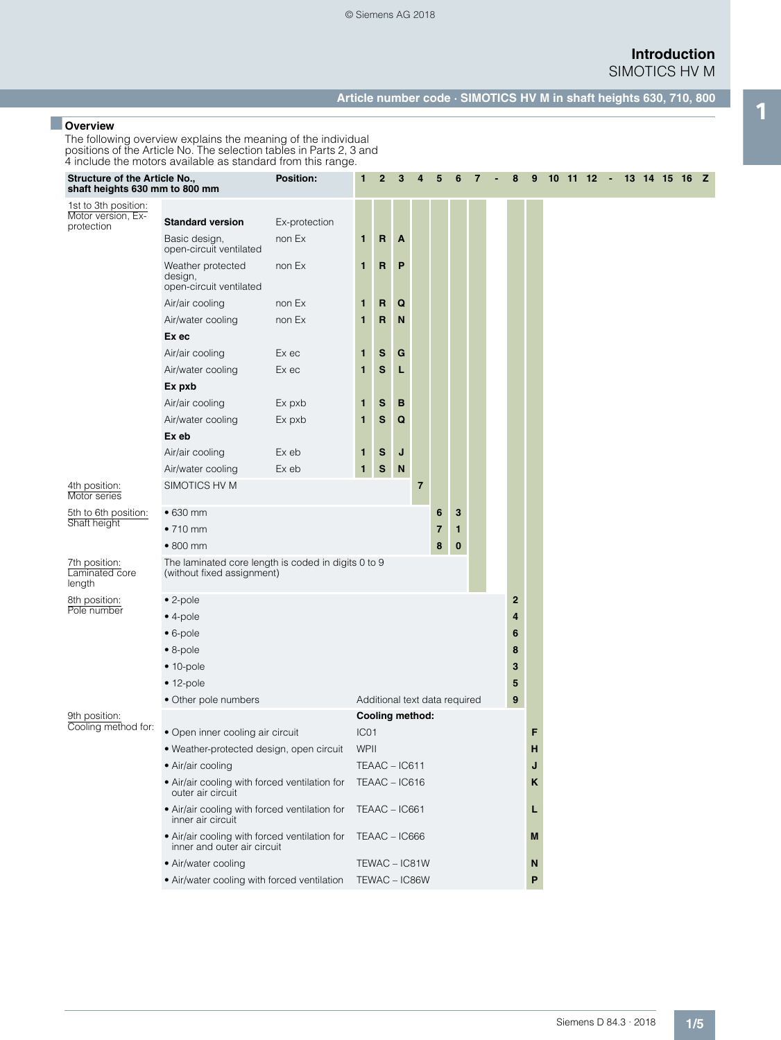### **Introduction** SIMOTICS HV M

**Article number code · SIMOTICS HV M in shaft heights 630, 710, 800** 1 ■ **Overview**

The following overview explains the meaning of the individual positions of the Article No. The selection tables in Parts 2, 3 and 4 include the motors available as standard from this range.

| Structure of the Article No.,<br>shaft heights 630 mm to 800 mm |                                                                                                                                                                                                                                               | <b>Position:</b>                                                                         | 1             | $\mathbf{2}$                  | 3      | 4              | 5           | 6           | 7 |  | 8                                    | 9 | 10 11 12 - 13 14 15 16 Z |  |  |  |  |
|-----------------------------------------------------------------|-----------------------------------------------------------------------------------------------------------------------------------------------------------------------------------------------------------------------------------------------|------------------------------------------------------------------------------------------|---------------|-------------------------------|--------|----------------|-------------|-------------|---|--|--------------------------------------|---|--------------------------|--|--|--|--|
| 1st to 3th position:<br>Motor version, Ex-<br>protection        | <b>Standard version</b><br>Basic design,<br>open-circuit ventilated<br>Weather protected<br>design,                                                                                                                                           | Ex-protection<br>non Ex<br>non Ex                                                        | 1<br>1        | R<br>R                        | A<br>P |                |             |             |   |  |                                      |   |                          |  |  |  |  |
|                                                                 | open-circuit ventilated<br>Air/air cooling<br>Air/water cooling<br>Ex ec                                                                                                                                                                      | non Ex<br>non Ex                                                                         | 1<br>1        | R<br>R                        | Q<br>N |                |             |             |   |  |                                      |   |                          |  |  |  |  |
|                                                                 | Air/air cooling<br>Air/water cooling<br>Ex pxb                                                                                                                                                                                                | Ex ec<br>Ex ec                                                                           | 1<br>1        | s<br>S                        | G<br>L |                |             |             |   |  |                                      |   |                          |  |  |  |  |
|                                                                 | Air/air cooling<br>Air/water cooling<br>Ex eb                                                                                                                                                                                                 | Ex pxb<br>Ex pxb                                                                         | 1<br>1        | s<br>${\bf s}$                | в<br>Q |                |             |             |   |  |                                      |   |                          |  |  |  |  |
|                                                                 | Air/air cooling<br>Air/water cooling                                                                                                                                                                                                          | Ex eb<br>Ex eb                                                                           | 1<br>1        | S<br>${\bf S}$                | J<br>N |                |             |             |   |  |                                      |   |                          |  |  |  |  |
| 4th position:<br>Motor series                                   | SIMOTICS HV M                                                                                                                                                                                                                                 |                                                                                          |               |                               |        | $\overline{7}$ |             |             |   |  |                                      |   |                          |  |  |  |  |
| 5th to 6th position:<br>Shaft height                            | $\bullet$ 630 mm<br>$•710$ mm<br>$\bullet$ 800 mm                                                                                                                                                                                             |                                                                                          |               |                               |        |                | 6<br>7<br>8 | 3<br>1<br>0 |   |  |                                      |   |                          |  |  |  |  |
| 7th position:<br>Laminated core<br>length                       | The laminated core length is coded in digits 0 to 9<br>(without fixed assignment)                                                                                                                                                             |                                                                                          |               |                               |        |                |             |             |   |  |                                      |   |                          |  |  |  |  |
| 8th position:<br>Pole number                                    | $• 2-pole$<br>$• 4-pole$<br>$• 6-pole$<br>$\bullet$ 8-pole<br>$• 10-pole$<br>$• 12-pole$                                                                                                                                                      |                                                                                          |               |                               |        |                |             |             |   |  | $\mathbf 2$<br>4<br>6<br>8<br>3<br>5 |   |                          |  |  |  |  |
|                                                                 | • Other pole numbers                                                                                                                                                                                                                          |                                                                                          |               | Additional text data required |        |                |             |             |   |  | 9                                    |   |                          |  |  |  |  |
| 9th position:<br>Cooling method for:                            | • Open inner cooling air circuit<br>· Weather-protected design, open circuit<br>• Air/air cooling<br>• Air/air cooling with forced ventilation for<br>outer air circuit<br>• Air/air cooling with forced ventilation for<br>inner air circuit | Cooling method:<br>IC <sub>01</sub><br>WPII<br>TEAAC-IC611<br>TEAAC-IC616<br>TEAAC-IC661 |               |                               |        |                |             |             |   |  | F<br>н<br>J<br>κ<br>L                |   |                          |  |  |  |  |
|                                                                 | • Air/air cooling with forced ventilation for<br>inner and outer air circuit                                                                                                                                                                  |                                                                                          |               | TEAAC-IC666                   |        |                |             |             |   |  |                                      | M |                          |  |  |  |  |
|                                                                 | • Air/water cooling                                                                                                                                                                                                                           |                                                                                          |               | TEWAC - IC81W                 |        |                |             |             |   |  |                                      | N |                          |  |  |  |  |
|                                                                 | • Air/water cooling with forced ventilation                                                                                                                                                                                                   |                                                                                          | TEWAC - IC86W |                               |        |                |             |             |   |  |                                      | P |                          |  |  |  |  |